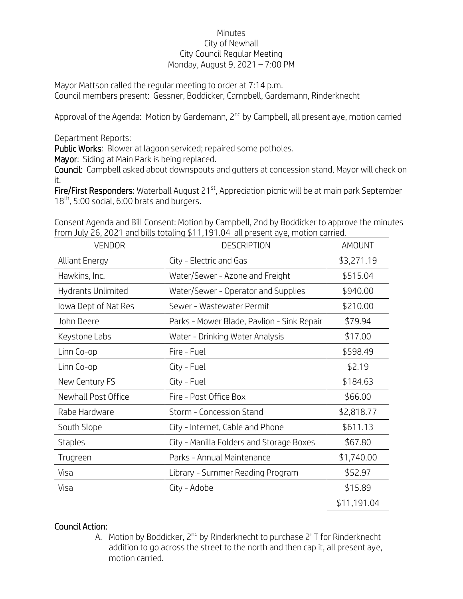## Minutes City of Newhall City Council Regular Meeting Monday, August 9, 2021 – 7:00 PM

Mayor Mattson called the regular meeting to order at 7:14 p.m. Council members present: Gessner, Boddicker, Campbell, Gardemann, Rinderknecht

Approval of the Agenda: Motion by Gardemann, 2<sup>nd</sup> by Campbell, all present aye, motion carried

Department Reports:

Public Works: Blower at lagoon serviced; repaired some potholes.

Mayor: Siding at Main Park is being replaced.

Council: Campbell asked about downspouts and gutters at concession stand, Mayor will check on it.

Fire/First Responders: Waterball August 21<sup>st</sup>, Appreciation picnic will be at main park September 18<sup>th</sup>, 5:00 social, 6:00 brats and burgers.

| <b>VENDOR</b>         | <b>DESCRIPTION</b>                         | <b>AMOUNT</b> |
|-----------------------|--------------------------------------------|---------------|
| <b>Alliant Energy</b> | City - Electric and Gas                    | \$3,271.19    |
| Hawkins, Inc.         | Water/Sewer - Azone and Freight            | \$515.04      |
| Hydrants Unlimited    | Water/Sewer - Operator and Supplies        | \$940.00      |
| lowa Dept of Nat Res  | Sewer - Wastewater Permit                  | \$210.00      |
| John Deere            | Parks - Mower Blade, Pavlion - Sink Repair | \$79.94       |
| Keystone Labs         | Water - Drinking Water Analysis            | \$17.00       |
| Linn Co-op            | Fire - Fuel                                | \$598.49      |
| Linn Co-op            | City - Fuel                                | \$2.19        |
| New Century FS        | City - Fuel                                | \$184.63      |
| Newhall Post Office   | Fire - Post Office Box                     | \$66.00       |
| Rabe Hardware         | Storm - Concession Stand                   | \$2,818.77    |
| South Slope           | City - Internet, Cable and Phone           | \$611.13      |
| <b>Staples</b>        | City - Manilla Folders and Storage Boxes   | \$67.80       |
| Trugreen              | Parks - Annual Maintenance                 | \$1,740.00    |
| Visa                  | Library - Summer Reading Program           | \$52.97       |
| Visa                  | City - Adobe                               | \$15.89       |
|                       |                                            | \$11,191.04   |

Consent Agenda and Bill Consent: Motion by Campbell, 2nd by Boddicker to approve the minutes from July 26, 2021 and bills totaling \$11,191.04 all present aye, motion carried.

## Council Action:

A. Motion by Boddicker, 2<sup>nd</sup> by Rinderknecht to purchase 2' T for Rinderknecht addition to go across the street to the north and then cap it, all present aye, motion carried.